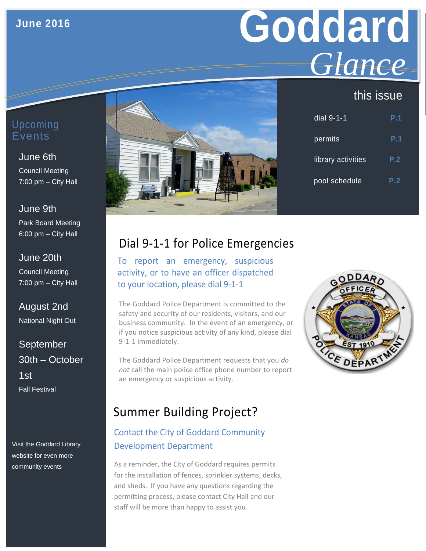#### **June 2016**

# **Goddard** *Glance*

### this issue

## June 6th

Council Meeting 7:00 pm – City Hall

June 9th Park Board Meeting 6:00 pm – City Hall

June 20th Council Meeting 7:00 pm – City Hall

August 2nd National Night Out

September 30th – October 1st Fall Festival

Visit the Goddard Library website for even more community events



| dial 9-1-1         | P.1 |
|--------------------|-----|
| permits            | P.1 |
| library activities | P.2 |
| pool schedule      | P.2 |

# Dial 9-1-1 for Police Emergencies

To report an emergency, suspicious activity, or to have an officer dispatched to your location, please dial 9-1-1

The Goddard Police Department is committed to the safety and security of our residents, visitors, and our business community. In the event of an emergency, or if you notice suspicious activity of any kind, please dial 9-1-1 immediately.

The Goddard Police Department requests that you *do not* call the main police office phone number to report an emergency or suspicious activity.



## Summer Building Project?

#### Contact the City of Goddard Community Development Department

As a reminder, the City of Goddard requires permits for the installation of fences, sprinkler systems, decks, and sheds. If you have any questions regarding the permitting process, please contact City Hall and our staff will be more than happy to assist you.